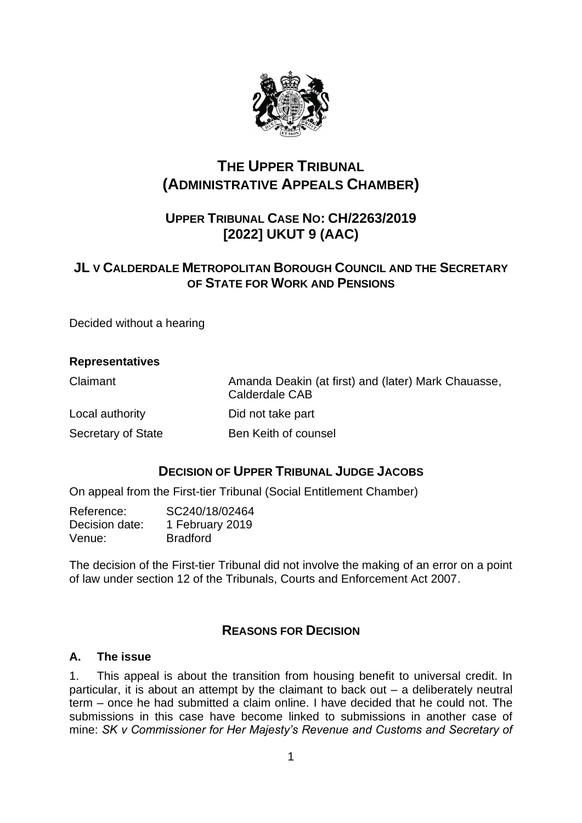

# **THE UPPER TRIBUNAL (ADMINISTRATIVE APPEALS CHAMBER)**

# **UPPER TRIBUNAL CASE NO: CH/2263/2019 [2022] UKUT 9 (AAC)**

# **JL V CALDERDALE METROPOLITAN BOROUGH COUNCIL AND THE SECRETARY OF STATE FOR WORK AND PENSIONS**

Decided without a hearing

| <b>Representatives</b> |                                                                       |
|------------------------|-----------------------------------------------------------------------|
| Claimant               | Amanda Deakin (at first) and (later) Mark Chauasse,<br>Calderdale CAB |
| Local authority        | Did not take part                                                     |
| Secretary of State     | Ben Keith of counsel                                                  |

## **DECISION OF UPPER TRIBUNAL JUDGE JACOBS**

On appeal from the First-tier Tribunal (Social Entitlement Chamber)

| Reference:     | SC240/18/02464  |
|----------------|-----------------|
| Decision date: | 1 February 2019 |
| Venue:         | <b>Bradford</b> |

The decision of the First-tier Tribunal did not involve the making of an error on a point of law under section 12 of the Tribunals, Courts and Enforcement Act 2007.

## **REASONS FOR DECISION**

## **A. The issue**

1. This appeal is about the transition from housing benefit to universal credit. In particular, it is about an attempt by the claimant to back out – a deliberately neutral term – once he had submitted a claim online. I have decided that he could not. The submissions in this case have become linked to submissions in another case of mine: *SK v Commissioner for Her Majesty's Revenue and Customs and Secretary of*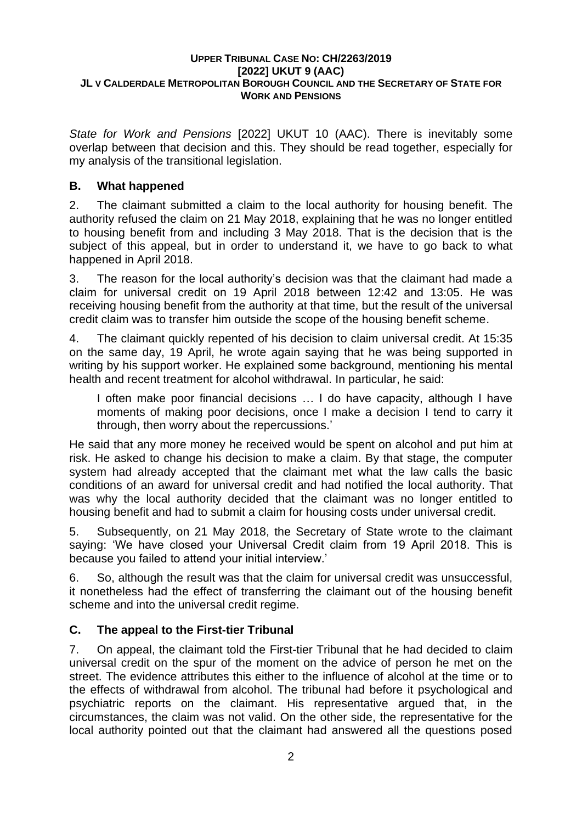*State for Work and Pensions* [2022] UKUT 10 (AAC). There is inevitably some overlap between that decision and this. They should be read together, especially for my analysis of the transitional legislation.

## **B. What happened**

2. The claimant submitted a claim to the local authority for housing benefit. The authority refused the claim on 21 May 2018, explaining that he was no longer entitled to housing benefit from and including 3 May 2018. That is the decision that is the subject of this appeal, but in order to understand it, we have to go back to what happened in April 2018.

3. The reason for the local authority's decision was that the claimant had made a claim for universal credit on 19 April 2018 between 12:42 and 13:05. He was receiving housing benefit from the authority at that time, but the result of the universal credit claim was to transfer him outside the scope of the housing benefit scheme.

4. The claimant quickly repented of his decision to claim universal credit. At 15:35 on the same day, 19 April, he wrote again saying that he was being supported in writing by his support worker. He explained some background, mentioning his mental health and recent treatment for alcohol withdrawal. In particular, he said:

I often make poor financial decisions … I do have capacity, although I have moments of making poor decisions, once I make a decision I tend to carry it through, then worry about the repercussions.'

He said that any more money he received would be spent on alcohol and put him at risk. He asked to change his decision to make a claim. By that stage, the computer system had already accepted that the claimant met what the law calls the basic conditions of an award for universal credit and had notified the local authority. That was why the local authority decided that the claimant was no longer entitled to housing benefit and had to submit a claim for housing costs under universal credit.

5. Subsequently, on 21 May 2018, the Secretary of State wrote to the claimant saying: 'We have closed your Universal Credit claim from 19 April 2018. This is because you failed to attend your initial interview.'

6. So, although the result was that the claim for universal credit was unsuccessful, it nonetheless had the effect of transferring the claimant out of the housing benefit scheme and into the universal credit regime.

## **C. The appeal to the First-tier Tribunal**

7. On appeal, the claimant told the First-tier Tribunal that he had decided to claim universal credit on the spur of the moment on the advice of person he met on the street. The evidence attributes this either to the influence of alcohol at the time or to the effects of withdrawal from alcohol. The tribunal had before it psychological and psychiatric reports on the claimant. His representative argued that, in the circumstances, the claim was not valid. On the other side, the representative for the local authority pointed out that the claimant had answered all the questions posed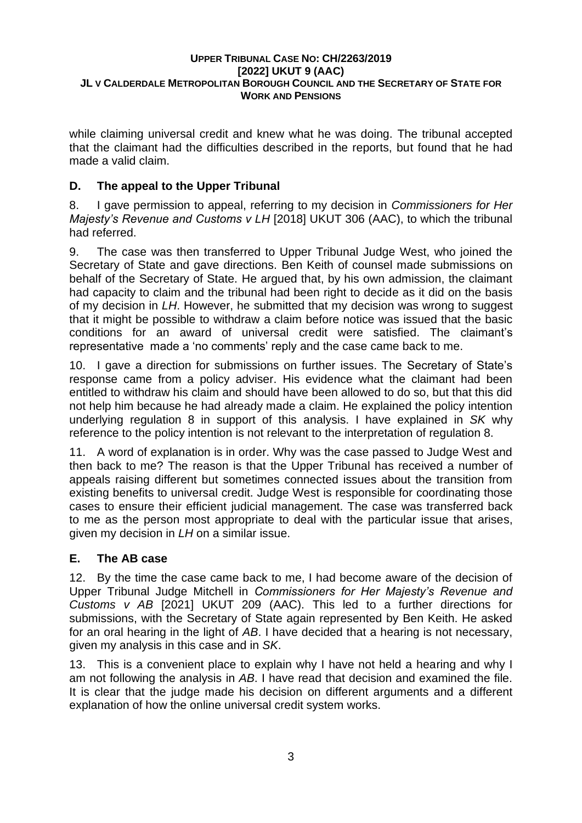while claiming universal credit and knew what he was doing. The tribunal accepted that the claimant had the difficulties described in the reports, but found that he had made a valid claim.

## **D. The appeal to the Upper Tribunal**

8. I gave permission to appeal, referring to my decision in *Commissioners for Her Majesty's Revenue and Customs v LH* [2018] UKUT 306 (AAC), to which the tribunal had referred.

9. The case was then transferred to Upper Tribunal Judge West, who joined the Secretary of State and gave directions. Ben Keith of counsel made submissions on behalf of the Secretary of State. He argued that, by his own admission, the claimant had capacity to claim and the tribunal had been right to decide as it did on the basis of my decision in *LH*. However, he submitted that my decision was wrong to suggest that it might be possible to withdraw a claim before notice was issued that the basic conditions for an award of universal credit were satisfied. The claimant's representative made a 'no comments' reply and the case came back to me.

10. I gave a direction for submissions on further issues. The Secretary of State's response came from a policy adviser. His evidence what the claimant had been entitled to withdraw his claim and should have been allowed to do so, but that this did not help him because he had already made a claim. He explained the policy intention underlying regulation 8 in support of this analysis. I have explained in *SK* why reference to the policy intention is not relevant to the interpretation of regulation 8.

11. A word of explanation is in order. Why was the case passed to Judge West and then back to me? The reason is that the Upper Tribunal has received a number of appeals raising different but sometimes connected issues about the transition from existing benefits to universal credit. Judge West is responsible for coordinating those cases to ensure their efficient judicial management. The case was transferred back to me as the person most appropriate to deal with the particular issue that arises, given my decision in *LH* on a similar issue.

## **E. The AB case**

12. By the time the case came back to me, I had become aware of the decision of Upper Tribunal Judge Mitchell in *Commissioners for Her Majesty's Revenue and Customs v AB* [2021] UKUT 209 (AAC). This led to a further directions for submissions, with the Secretary of State again represented by Ben Keith. He asked for an oral hearing in the light of *AB*. I have decided that a hearing is not necessary, given my analysis in this case and in *SK*.

13. This is a convenient place to explain why I have not held a hearing and why I am not following the analysis in *AB*. I have read that decision and examined the file. It is clear that the judge made his decision on different arguments and a different explanation of how the online universal credit system works.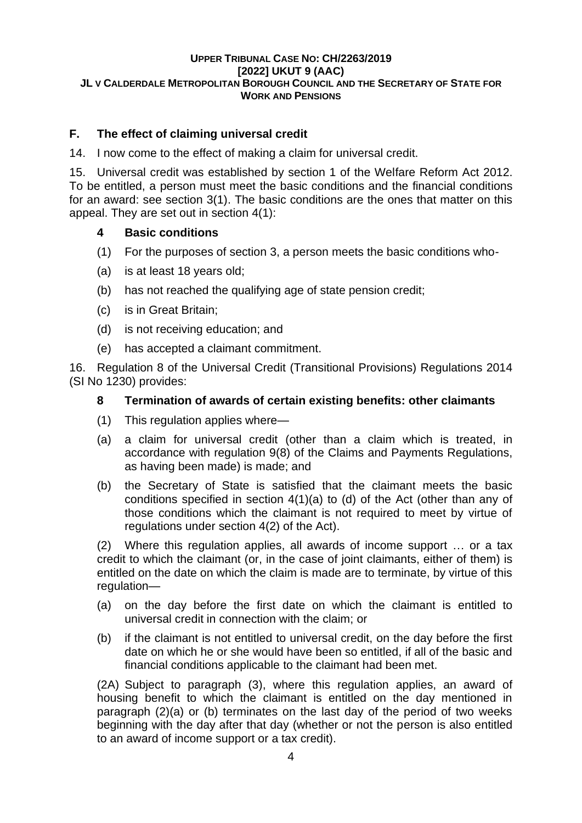## **F. The effect of claiming universal credit**

14. I now come to the effect of making a claim for universal credit.

15. Universal credit was established by section 1 of the Welfare Reform Act 2012. To be entitled, a person must meet the basic conditions and the financial conditions for an award: see section 3(1). The basic conditions are the ones that matter on this appeal. They are set out in section 4(1):

## **4 Basic conditions**

- (1) For the purposes of section 3, a person meets the basic conditions who-
- (a) is at least 18 years old;
- (b) has not reached the qualifying age of state pension credit;
- (c) is in Great Britain;
- (d) is not receiving education; and
- (e) has accepted a claimant commitment.

16. Regulation 8 of the Universal Credit (Transitional Provisions) Regulations 2014 (SI No 1230) provides:

## **8 Termination of awards of certain existing benefits: other claimants**

- (1) This regulation applies where—
- (a) a claim for universal credit (other than a claim which is treated, in accordance with [regulation 9\(8\)](https://uk.westlaw.com/Document/I76AD8B51864011E29BEBD9065BB2D913/View/FullText.html?originationContext=document&transitionType=DocumentItem&contextData=(sc.DocLink)) of the Claims and Payments Regulations, as having been made) is made; and
- (b) the Secretary of State is satisfied that the claimant meets the basic conditions specified in [section 4\(1\)\(a\) to \(d\)](https://uk.westlaw.com/Document/I32F948D06CD411E1B157BD9C41D097E9/View/FullText.html?originationContext=document&transitionType=DocumentItem&contextData=(sc.DocLink)) of the Act (other than any of those conditions which the claimant is not required to meet by virtue of regulations under [section 4\(2\)](https://uk.westlaw.com/Document/I32F948D06CD411E1B157BD9C41D097E9/View/FullText.html?originationContext=document&transitionType=DocumentItem&contextData=(sc.DocLink)) of the Act).

(2) Where this regulation applies, all awards of income support … or a tax credit to which the claimant (or, in the case of joint claimants, either of them) is entitled on the date on which the claim is made are to terminate, by virtue of this regulation—

- (a) on the day before the first date on which the claimant is entitled to universal credit in connection with the claim; or
- (b) if the claimant is not entitled to universal credit, on the day before the first date on which he or she would have been so entitled, if all of the basic and financial conditions applicable to the claimant had been met.

(2A) Subject to paragraph (3), where this regulation applies, an award of housing benefit to which the claimant is entitled on the day mentioned in paragraph (2)(a) or (b) terminates on the last day of the period of two weeks beginning with the day after that day (whether or not the person is also entitled to an award of income support or a tax credit).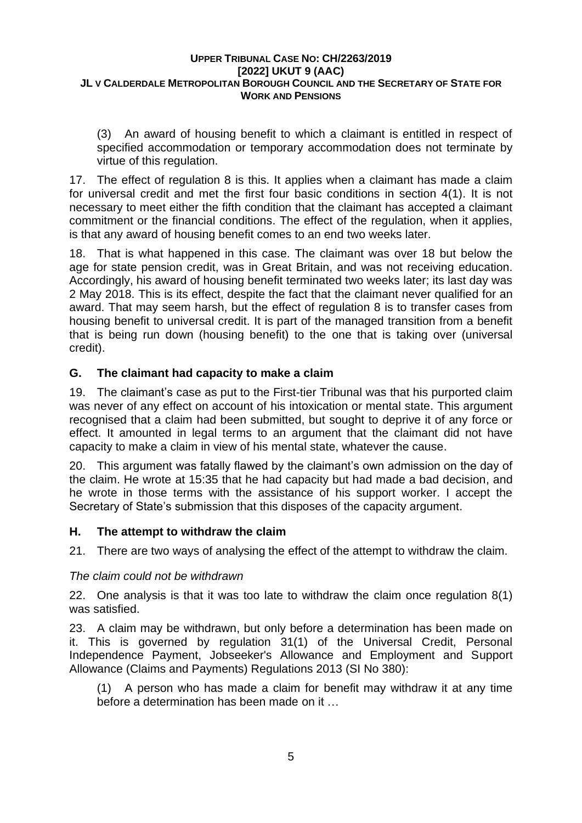(3) An award of housing benefit to which a claimant is entitled in respect of specified accommodation or temporary accommodation does not terminate by virtue of this regulation.

17. The effect of regulation 8 is this. It applies when a claimant has made a claim for universal credit and met the first four basic conditions in section 4(1). It is not necessary to meet either the fifth condition that the claimant has accepted a claimant commitment or the financial conditions. The effect of the regulation, when it applies, is that any award of housing benefit comes to an end two weeks later.

18. That is what happened in this case. The claimant was over 18 but below the age for state pension credit, was in Great Britain, and was not receiving education. Accordingly, his award of housing benefit terminated two weeks later; its last day was 2 May 2018. This is its effect, despite the fact that the claimant never qualified for an award. That may seem harsh, but the effect of regulation 8 is to transfer cases from housing benefit to universal credit. It is part of the managed transition from a benefit that is being run down (housing benefit) to the one that is taking over (universal credit).

## **G. The claimant had capacity to make a claim**

19. The claimant's case as put to the First-tier Tribunal was that his purported claim was never of any effect on account of his intoxication or mental state. This argument recognised that a claim had been submitted, but sought to deprive it of any force or effect. It amounted in legal terms to an argument that the claimant did not have capacity to make a claim in view of his mental state, whatever the cause.

20. This argument was fatally flawed by the claimant's own admission on the day of the claim. He wrote at 15:35 that he had capacity but had made a bad decision, and he wrote in those terms with the assistance of his support worker. I accept the Secretary of State's submission that this disposes of the capacity argument.

## **H. The attempt to withdraw the claim**

21. There are two ways of analysing the effect of the attempt to withdraw the claim.

## *The claim could not be withdrawn*

22. One analysis is that it was too late to withdraw the claim once regulation 8(1) was satisfied.

23. A claim may be withdrawn, but only before a determination has been made on it. This is governed by regulation 31(1) of the Universal Credit, Personal Independence Payment, Jobseeker's Allowance and Employment and Support Allowance (Claims and Payments) Regulations 2013 (SI No 380):

(1) A person who has made a claim for benefit may withdraw it at any time before a determination has been made on it …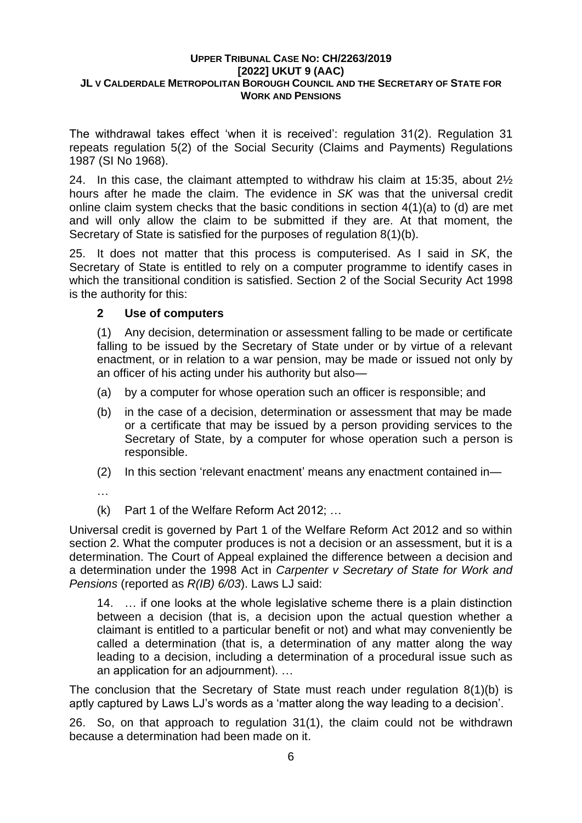The withdrawal takes effect 'when it is received': regulation 31(2). Regulation 31 repeats regulation 5(2) of the Social Security (Claims and Payments) Regulations 1987 (SI No 1968).

24. In this case, the claimant attempted to withdraw his claim at 15:35, about 2½ hours after he made the claim. The evidence in *SK* was that the universal credit online claim system checks that the basic conditions in section 4(1)(a) to (d) are met and will only allow the claim to be submitted if they are. At that moment, the Secretary of State is satisfied for the purposes of regulation 8(1)(b).

25. It does not matter that this process is computerised. As I said in *SK*, the Secretary of State is entitled to rely on a computer programme to identify cases in which the transitional condition is satisfied. Section 2 of the Social Security Act 1998 is the authority for this:

## **2 Use of computers**

(1) Any decision, determination or assessment falling to be made or certificate falling to be issued by the Secretary of State under or by virtue of a relevant enactment, or in relation to a war pension, may be made or issued not only by an officer of his acting under his authority but also—

- (a) by a computer for whose operation such an officer is responsible; and
- (b) in the case of a decision, determination or assessment that may be made or a certificate that may be issued by a person providing services to the Secretary of State, by a computer for whose operation such a person is responsible.
- (2) In this section 'relevant enactment' means any enactment contained in—

…

(k) Part 1 of the Welfare Reform Act 2012; …

Universal credit is governed by Part 1 of the Welfare Reform Act 2012 and so within section 2. What the computer produces is not a decision or an assessment, but it is a determination. The Court of Appeal explained the difference between a decision and a determination under the 1998 Act in *Carpenter v Secretary of State for Work and Pensions* (reported as *R(IB) 6/03*). Laws LJ said:

14. … if one looks at the whole legislative scheme there is a plain distinction between a decision (that is, a decision upon the actual question whether a claimant is entitled to a particular benefit or not) and what may conveniently be called a determination (that is, a determination of any matter along the way leading to a decision, including a determination of a procedural issue such as an application for an adjournment). …

The conclusion that the Secretary of State must reach under regulation 8(1)(b) is aptly captured by Laws LJ's words as a 'matter along the way leading to a decision'.

26. So, on that approach to regulation 31(1), the claim could not be withdrawn because a determination had been made on it.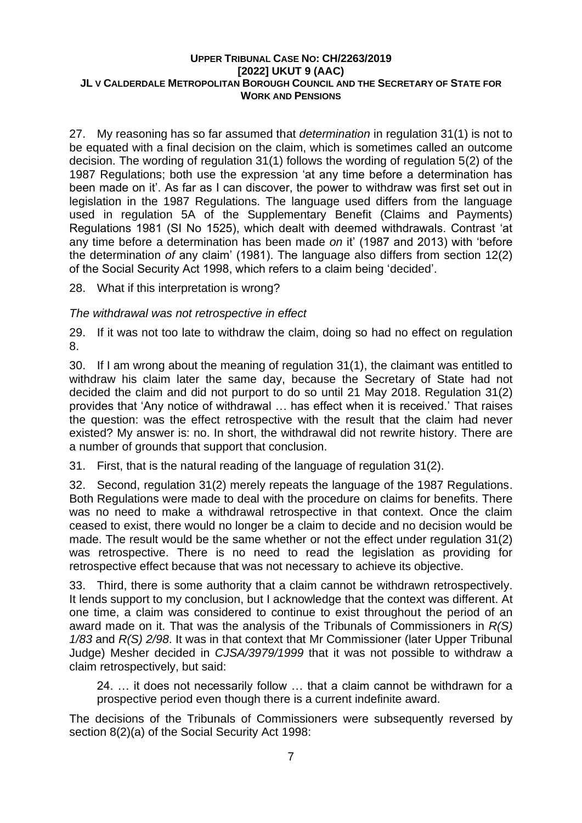27. My reasoning has so far assumed that *determination* in regulation 31(1) is not to be equated with a final decision on the claim, which is sometimes called an outcome decision. The wording of regulation 31(1) follows the wording of regulation 5(2) of the 1987 Regulations; both use the expression 'at any time before a determination has been made on it'. As far as I can discover, the power to withdraw was first set out in legislation in the 1987 Regulations. The language used differs from the language used in regulation 5A of the Supplementary Benefit (Claims and Payments) Regulations 1981 (SI No 1525), which dealt with deemed withdrawals. Contrast 'at any time before a determination has been made *on* it' (1987 and 2013) with 'before the determination *of* any claim' (1981). The language also differs from section 12(2) of the Social Security Act 1998, which refers to a claim being 'decided'.

28. What if this interpretation is wrong?

*The withdrawal was not retrospective in effect*

29. If it was not too late to withdraw the claim, doing so had no effect on regulation 8.

30. If I am wrong about the meaning of regulation 31(1), the claimant was entitled to withdraw his claim later the same day, because the Secretary of State had not decided the claim and did not purport to do so until 21 May 2018. Regulation 31(2) provides that 'Any notice of withdrawal … has effect when it is received.' That raises the question: was the effect retrospective with the result that the claim had never existed? My answer is: no. In short, the withdrawal did not rewrite history. There are a number of grounds that support that conclusion.

31. First, that is the natural reading of the language of regulation 31(2).

32. Second, regulation 31(2) merely repeats the language of the 1987 Regulations. Both Regulations were made to deal with the procedure on claims for benefits. There was no need to make a withdrawal retrospective in that context. Once the claim ceased to exist, there would no longer be a claim to decide and no decision would be made. The result would be the same whether or not the effect under regulation 31(2) was retrospective. There is no need to read the legislation as providing for retrospective effect because that was not necessary to achieve its objective.

33. Third, there is some authority that a claim cannot be withdrawn retrospectively. It lends support to my conclusion, but I acknowledge that the context was different. At one time, a claim was considered to continue to exist throughout the period of an award made on it. That was the analysis of the Tribunals of Commissioners in *R(S) 1/83* and *R(S) 2/98*. It was in that context that Mr Commissioner (later Upper Tribunal Judge) Mesher decided in *CJSA/3979/1999* that it was not possible to withdraw a claim retrospectively, but said:

24. … it does not necessarily follow … that a claim cannot be withdrawn for a prospective period even though there is a current indefinite award.

The decisions of the Tribunals of Commissioners were subsequently reversed by section 8(2)(a) of the Social Security Act 1998: